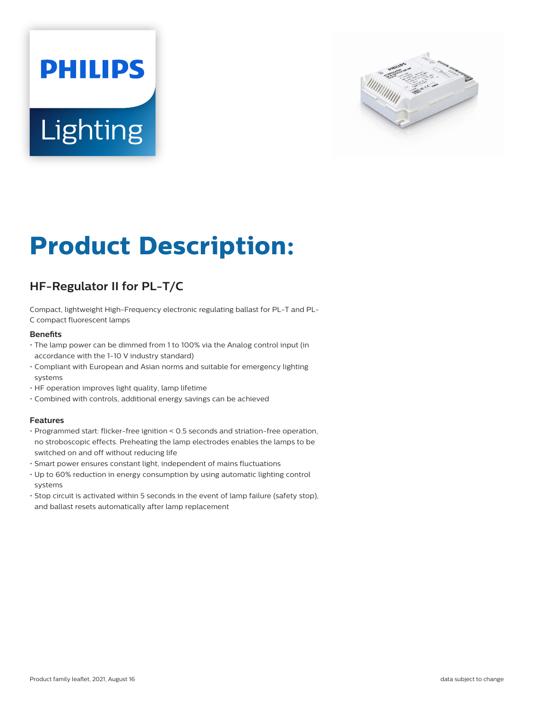# **PHILIPS** Lighting



# **Product Description:**

# **HF-Regulator II for PL-T/C**

Compact, lightweight High-Frequency electronic regulating ballast for PL-T and PL-C compact fluorescent lamps

#### **Benefits**

- The lamp power can be dimmed from 1 to 100% via the Analog control input (in accordance with the 1-10 V industry standard)
- Compliant with European and Asian norms and suitable for emergency lighting systems
- HF operation improves light quality, lamp lifetime
- Combined with controls, additional energy savings can be achieved

#### **Features**

- Programmed start: flicker-free ignition < 0.5 seconds and striation-free operation, no stroboscopic effects. Preheating the lamp electrodes enables the lamps to be switched on and off without reducing life
- Smart power ensures constant light, independent of mains fluctuations
- Up to 60% reduction in energy consumption by using automatic lighting control systems
- Stop circuit is activated within 5 seconds in the event of lamp failure (safety stop), and ballast resets automatically after lamp replacement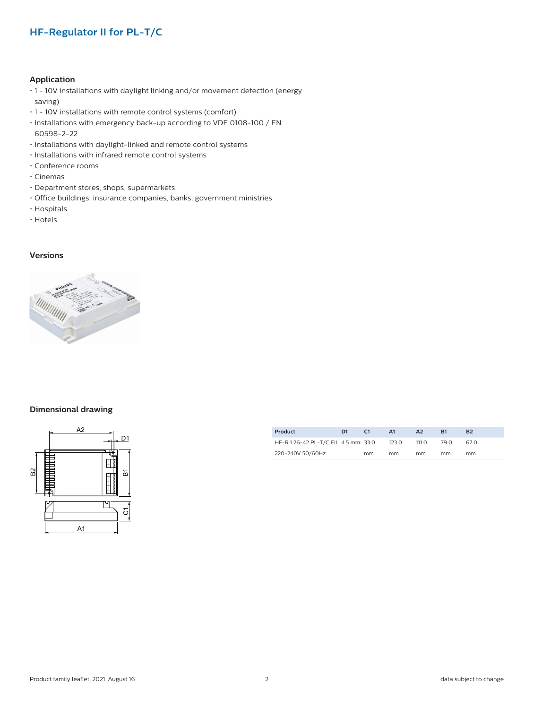### **HF-Regulator II for PL-T/C**

#### **Application**

- 1 10V installations with daylight linking and/or movement detection (energy saving)
- 1 10V installations with remote control systems (comfort)
- Installations with emergency back-up according to VDE 0108-100 / EN 60598-2-22
- Installations with daylight-linked and remote control systems
- Installations with infrared remote control systems
- Conference rooms
- Cinemas
- Department stores, shops, supermarkets
- Office buildings: insurance companies, banks, government ministries
- Hospitals
- Hotels

#### **Versions**



#### **Dimensional drawing**



| Product                           | D1 | C1 | A1    | A <sub>2</sub> | R1   | B2   |
|-----------------------------------|----|----|-------|----------------|------|------|
| HF-R126-42 PL-T/C EII 4.5 mm 33.0 |    |    | 123.0 | 111.O          | 79.O | 67.0 |
| 220-240V 50/60Hz                  |    | mm | mm    | mm             | mm   | mm   |